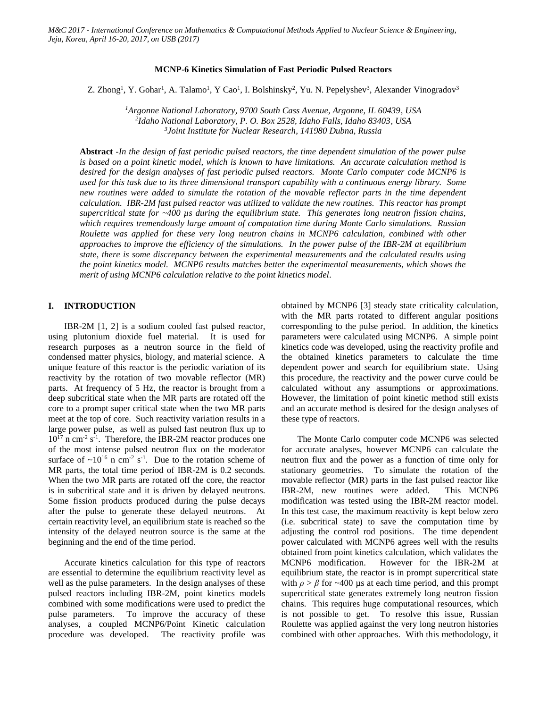#### **MCNP-6 Kinetics Simulation of Fast Periodic Pulsed Reactors**

Z. Zhong<sup>1</sup>, Y. Gohar<sup>1</sup>, A. Talamo<sup>1</sup>, Y Cao<sup>1</sup>, I. Bolshinsky<sup>2</sup>, Yu. N. Pepelyshev<sup>3</sup>, Alexander Vinogradov<sup>3</sup>

*<sup>1</sup>Argonne National Laboratory, 9700 South Cass Avenue, Argonne, IL 60439, USA 2 Idaho National Laboratory, P. O. Box 2528, Idaho Falls, Idaho 83403, USA 3 Joint Institute for Nuclear Research, 141980 Dubna, Russia*

**Abstract** *-In the design of fast periodic pulsed reactors, the time dependent simulation of the power pulse is based on a point kinetic model, which is known to have limitations. An accurate calculation method is desired for the design analyses of fast periodic pulsed reactors. Monte Carlo computer code MCNP6 is used for this task due to its three dimensional transport capability with a continuous energy library. Some new routines were added to simulate the rotation of the movable reflector parts in the time dependent calculation. IBR-2M fast pulsed reactor was utilized to validate the new routines. This reactor has prompt supercritical state for ~400 µs during the equilibrium state. This generates long neutron fission chains, which requires tremendously large amount of computation time during Monte Carlo simulations. Russian Roulette was applied for these very long neutron chains in MCNP6 calculation, combined with other approaches to improve the efficiency of the simulations. In the power pulse of the IBR-2M at equilibrium state, there is some discrepancy between the experimental measurements and the calculated results using the point kinetics model. MCNP6 results matches better the experimental measurements, which shows the merit of using MCNP6 calculation relative to the point kinetics model.*

### **I. INTRODUCTION**

IBR-2M [1, 2] is a sodium cooled fast pulsed reactor, using plutonium dioxide fuel material. It is used for research purposes as a neutron source in the field of condensed matter physics, biology, and material science. A unique feature of this reactor is the periodic variation of its reactivity by the rotation of two movable reflector (MR) parts. At frequency of 5 Hz, the reactor is brought from a deep subcritical state when the MR parts are rotated off the core to a prompt super critical state when the two MR parts meet at the top of core. Such reactivity variation results in a large power pulse, as well as pulsed fast neutron flux up to  $10^{17}$  n cm<sup>-2</sup> s<sup>-1</sup>. Therefore, the IBR-2M reactor produces one of the most intense pulsed neutron flux on the moderator surface of  $\sim 10^{16}$  n cm<sup>-2</sup> s<sup>-1</sup>. Due to the rotation scheme of MR parts, the total time period of IBR-2M is 0.2 seconds. When the two MR parts are rotated off the core, the reactor is in subcritical state and it is driven by delayed neutrons. Some fission products produced during the pulse decays after the pulse to generate these delayed neutrons. At certain reactivity level, an equilibrium state is reached so the intensity of the delayed neutron source is the same at the beginning and the end of the time period.

Accurate kinetics calculation for this type of reactors are essential to determine the equilibrium reactivity level as well as the pulse parameters. In the design analyses of these pulsed reactors including IBR-2M, point kinetics models combined with some modifications were used to predict the pulse parameters. To improve the accuracy of these analyses, a coupled MCNP6/Point Kinetic calculation procedure was developed. The reactivity profile was obtained by MCNP6 [3] steady state criticality calculation, with the MR parts rotated to different angular positions corresponding to the pulse period. In addition, the kinetics parameters were calculated using MCNP6. A simple point kinetics code was developed, using the reactivity profile and the obtained kinetics parameters to calculate the time dependent power and search for equilibrium state. Using this procedure, the reactivity and the power curve could be calculated without any assumptions or approximations. However, the limitation of point kinetic method still exists and an accurate method is desired for the design analyses of these type of reactors.

The Monte Carlo computer code MCNP6 was selected for accurate analyses, however MCNP6 can calculate the neutron flux and the power as a function of time only for stationary geometries. To simulate the rotation of the movable reflector (MR) parts in the fast pulsed reactor like IBR-2M, new routines were added. This MCNP6 modification was tested using the IBR-2M reactor model. In this test case, the maximum reactivity is kept below zero (i.e. subcritical state) to save the computation time by adjusting the control rod positions. The time dependent power calculated with MCNP6 agrees well with the results obtained from point kinetics calculation, which validates the MCNP6 modification. However for the IBR-2M at equilibrium state, the reactor is in prompt supercritical state with  $\rho > \beta$  for ~400 µs at each time period, and this prompt supercritical state generates extremely long neutron fission chains. This requires huge computational resources, which is not possible to get. To resolve this issue, Russian Roulette was applied against the very long neutron histories combined with other approaches. With this methodology, it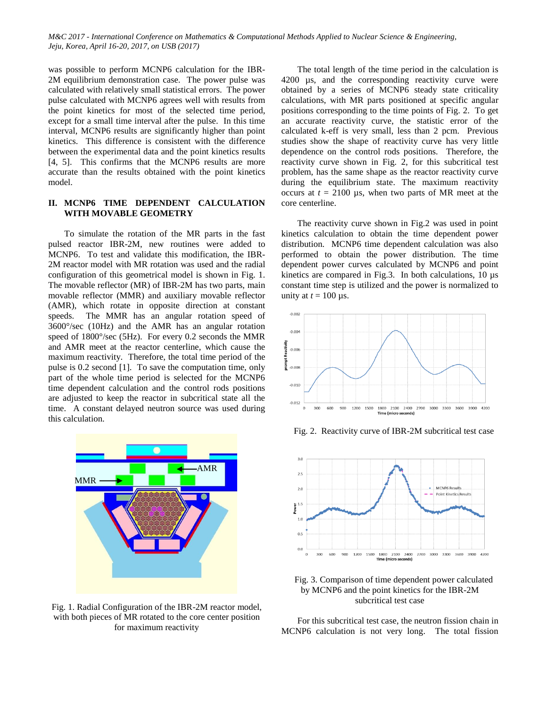was possible to perform MCNP6 calculation for the IBR-2M equilibrium demonstration case. The power pulse was calculated with relatively small statistical errors. The power pulse calculated with MCNP6 agrees well with results from the point kinetics for most of the selected time period, except for a small time interval after the pulse. In this time interval, MCNP6 results are significantly higher than point kinetics. This difference is consistent with the difference between the experimental data and the point kinetics results [4, 5]. This confirms that the MCNP6 results are more accurate than the results obtained with the point kinetics model.

# **II. MCNP6 TIME DEPENDENT CALCULATION WITH MOVABLE GEOMETRY**

To simulate the rotation of the MR parts in the fast pulsed reactor IBR-2M, new routines were added to MCNP6. To test and validate this modification, the IBR-2M reactor model with MR rotation was used and the radial configuration of this geometrical model is shown in Fig. 1. The movable reflector (MR) of IBR-2M has two parts, main movable reflector (MMR) and auxiliary movable reflector (AMR), which rotate in opposite direction at constant speeds. The MMR has an angular rotation speed of 3600°/sec (10Hz) and the AMR has an angular rotation speed of 1800°/sec (5Hz). For every 0.2 seconds the MMR and AMR meet at the reactor centerline, which cause the maximum reactivity. Therefore, the total time period of the pulse is 0.2 second [1]. To save the computation time, only part of the whole time period is selected for the MCNP6 time dependent calculation and the control rods positions are adjusted to keep the reactor in subcritical state all the time. A constant delayed neutron source was used during this calculation.



Fig. 1. Radial Configuration of the IBR-2M reactor model, with both pieces of MR rotated to the core center position for maximum reactivity

The total length of the time period in the calculation is 4200 µs, and the corresponding reactivity curve were obtained by a series of MCNP6 steady state criticality calculations, with MR parts positioned at specific angular positions corresponding to the time points of Fig. 2. To get an accurate reactivity curve, the statistic error of the calculated k-eff is very small, less than 2 pcm. Previous studies show the shape of reactivity curve has very little dependence on the control rods positions. Therefore, the reactivity curve shown in Fig. 2, for this subcritical test problem, has the same shape as the reactor reactivity curve during the equilibrium state. The maximum reactivity occurs at  $t = 2100$  µs, when two parts of MR meet at the core centerline.

The reactivity curve shown in Fig.2 was used in point kinetics calculation to obtain the time dependent power distribution. MCNP6 time dependent calculation was also performed to obtain the power distribution. The time dependent power curves calculated by MCNP6 and point kinetics are compared in Fig.3. In both calculations, 10 µs constant time step is utilized and the power is normalized to unity at  $t = 100 \,\mu s$ .



Fig. 2. Reactivity curve of IBR-2M subcritical test case



Fig. 3. Comparison of time dependent power calculated by MCNP6 and the point kinetics for the IBR-2M subcritical test case

For this subcritical test case, the neutron fission chain in MCNP6 calculation is not very long. The total fission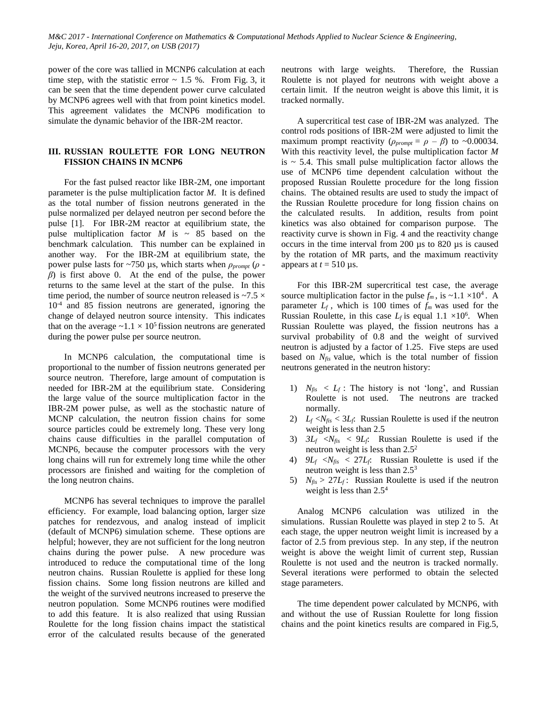power of the core was tallied in MCNP6 calculation at each time step, with the statistic error  $\sim 1.5$  %. From Fig. 3, it can be seen that the time dependent power curve calculated by MCNP6 agrees well with that from point kinetics model. This agreement validates the MCNP6 modification to simulate the dynamic behavior of the IBR-2M reactor.

# **III. RUSSIAN ROULETTE FOR LONG NEUTRON FISSION CHAINS IN MCNP6**

For the fast pulsed reactor like IBR-2M, one important parameter is the pulse multiplication factor *M*. It is defined as the total number of fission neutrons generated in the pulse normalized per delayed neutron per second before the pulse [1]. For IBR-2M reactor at equilibrium state, the pulse multiplication factor  $M$  is  $\sim$  85 based on the benchmark calculation. This number can be explained in another way. For the IBR-2M at equilibrium state, the power pulse lasts for ~750 µs, which starts when *ρprompt* (*ρ β*) is first above 0. At the end of the pulse, the power returns to the same level at the start of the pulse. In this time period, the number of source neutron released is  $\sim$ 7.5  $\times$ 10-4 and 85 fission neutrons are generated, ignoring the change of delayed neutron source intensity. This indicates that on the average  $\sim 1.1 \times 10^5$  fission neutrons are generated during the power pulse per source neutron.

In MCNP6 calculation, the computational time is proportional to the number of fission neutrons generated per source neutron. Therefore, large amount of computation is needed for IBR-2M at the equilibrium state. Considering the large value of the source multiplication factor in the IBR-2M power pulse, as well as the stochastic nature of MCNP calculation, the neutron fission chains for some source particles could be extremely long. These very long chains cause difficulties in the parallel computation of MCNP6, because the computer processors with the very long chains will run for extremely long time while the other processors are finished and waiting for the completion of the long neutron chains.

MCNP6 has several techniques to improve the parallel efficiency. For example, load balancing option, larger size patches for rendezvous, and analog instead of implicit (default of MCNP6) simulation scheme. These options are helpful; however, they are not sufficient for the long neutron chains during the power pulse. A new procedure was introduced to reduce the computational time of the long neutron chains. Russian Roulette is applied for these long fission chains. Some long fission neutrons are killed and the weight of the survived neutrons increased to preserve the neutron population. Some MCNP6 routines were modified to add this feature. It is also realized that using Russian Roulette for the long fission chains impact the statistical error of the calculated results because of the generated neutrons with large weights. Therefore, the Russian Roulette is not played for neutrons with weight above a certain limit. If the neutron weight is above this limit, it is tracked normally.

A supercritical test case of IBR-2M was analyzed. The control rods positions of IBR-2M were adjusted to limit the maximum prompt reactivity ( $\rho_{prompt} = \rho - \beta$ ) to ~0.00034. With this reactivity level, the pulse multiplication factor *M* is  $\sim$  5.4. This small pulse multiplication factor allows the use of MCNP6 time dependent calculation without the proposed Russian Roulette procedure for the long fission chains. The obtained results are used to study the impact of the Russian Roulette procedure for long fission chains on the calculated results. In addition, results from point kinetics was also obtained for comparison purpose. The reactivity curve is shown in Fig. 4 and the reactivity change occurs in the time interval from 200 µs to 820 µs is caused by the rotation of MR parts, and the maximum reactivity appears at  $t = 510 \,\mu s$ .

For this IBR-2M supercritical test case, the average source multiplication factor in the pulse  $f_m$ , is ~1.1 ×10<sup>4</sup>. A parameter  $L_f$ , which is 100 times of  $f_m$  was used for the Russian Roulette, in this case  $L_f$  is equal  $1.1 \times 10^6$ . When Russian Roulette was played, the fission neutrons has a survival probability of 0.8 and the weight of survived neutron is adjusted by a factor of 1.25. Five steps are used based on *Nfis* value, which is the total number of fission neutrons generated in the neutron history:

- 1)  $N_{fis} < L_f$ : The history is not 'long', and Russian Roulette is not used. The neutrons are tracked normally.
- 2)  $L_f \le N_{fis} \le 3L_f$ : Russian Roulette is used if the neutron weight is less than 2.5
- 3)  $3L_f \ll N_{fis} \ll 9L_f$ : Russian Roulette is used if the neutron weight is less than 2.5<sup>2</sup>
- 4)  $9L_f \ll N_{\text{fis}} < 27L_f$ : Russian Roulette is used if the neutron weight is less than 2.5<sup>3</sup>
- 5)  $N_{\text{fis}} > 27L_f$ : Russian Roulette is used if the neutron weight is less than 2.5<sup>4</sup>

Analog MCNP6 calculation was utilized in the simulations. Russian Roulette was played in step 2 to 5. At each stage, the upper neutron weight limit is increased by a factor of 2.5 from previous step. In any step, if the neutron weight is above the weight limit of current step, Russian Roulette is not used and the neutron is tracked normally. Several iterations were performed to obtain the selected stage parameters.

The time dependent power calculated by MCNP6, with and without the use of Russian Roulette for long fission chains and the point kinetics results are compared in Fig.5,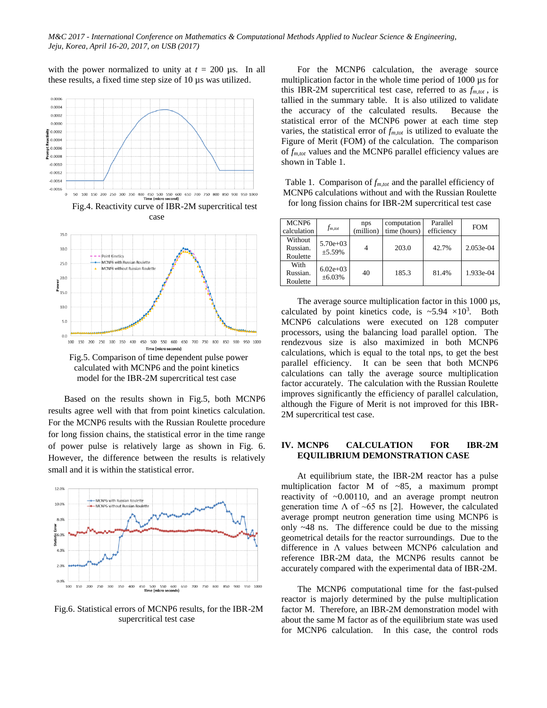with the power normalized to unity at  $t = 200 \, \mu s$ . In all these results, a fixed time step size of 10 µs was utilized.





Fig.5. Comparison of time dependent pulse power calculated with MCNP6 and the point kinetics model for the IBR-2M supercritical test case

Based on the results shown in Fig.5, both MCNP6 results agree well with that from point kinetics calculation. For the MCNP6 results with the Russian Roulette procedure for long fission chains, the statistical error in the time range of power pulse is relatively large as shown in Fig. 6. However, the difference between the results is relatively small and it is within the statistical error.



Fig.6. Statistical errors of MCNP6 results, for the IBR-2M supercritical test case

For the MCNP6 calculation, the average source multiplication factor in the whole time period of 1000 µs for this IBR-2M supercritical test case, referred to as *fm,tot* , is tallied in the summary table. It is also utilized to validate the accuracy of the calculated results. Because the statistical error of the MCNP6 power at each time step varies, the statistical error of *fm,tot* is utilized to evaluate the Figure of Merit (FOM) of the calculation. The comparison of *fm,tot* values and the MCNP6 parallel efficiency values are shown in Table 1.

Table 1. Comparison of *fm,tot* and the parallel efficiency of MCNP6 calculations without and with the Russian Roulette for long fission chains for IBR-2M supercritical test case

| MCNP <sub>6</sub><br>calculation | $f_{m,tot}$                 | nps<br>(million) | computation<br>time (hours) | Parallel<br>efficiency | <b>FOM</b>  |
|----------------------------------|-----------------------------|------------------|-----------------------------|------------------------|-------------|
| Without<br>Russian.<br>Roulette  | $5.70e+03$<br>±5.59%        |                  | 203.0                       | 42.7%                  | $2.053e-04$ |
| With<br>Russian.<br>Roulette     | $6.02e+0.3$<br>$\pm 6.03\%$ | 40               | 185.3                       | 81.4%                  | 1.933e-04   |

The average source multiplication factor in this 1000  $\mu$ s, calculated by point kinetics code, is  $\approx 5.94 \times 10^3$ . Both MCNP6 calculations were executed on 128 computer processors, using the balancing load parallel option. The rendezvous size is also maximized in both MCNP6 calculations, which is equal to the total nps, to get the best parallel efficiency. It can be seen that both MCNP6 calculations can tally the average source multiplication factor accurately. The calculation with the Russian Roulette improves significantly the efficiency of parallel calculation, although the Figure of Merit is not improved for this IBR-2M supercritical test case.

## **IV. MCNP6 CALCULATION FOR IBR-2M EQUILIBRIUM DEMONSTRATION CASE**

At equilibrium state, the IBR-2M reactor has a pulse multiplication factor M of ~85, a maximum prompt reactivity of ~0.00110, and an average prompt neutron generation time  $\Lambda$  of ~65 ns [2]. However, the calculated average prompt neutron generation time using MCNP6 is only ~48 ns. The difference could be due to the missing geometrical details for the reactor surroundings. Due to the difference in  $\Lambda$  values between MCNP6 calculation and reference IBR-2M data, the MCNP6 results cannot be accurately compared with the experimental data of IBR-2M.

The MCNP6 computational time for the fast-pulsed reactor is majorly determined by the pulse multiplication factor M. Therefore, an IBR-2M demonstration model with about the same M factor as of the equilibrium state was used for MCNP6 calculation. In this case, the control rods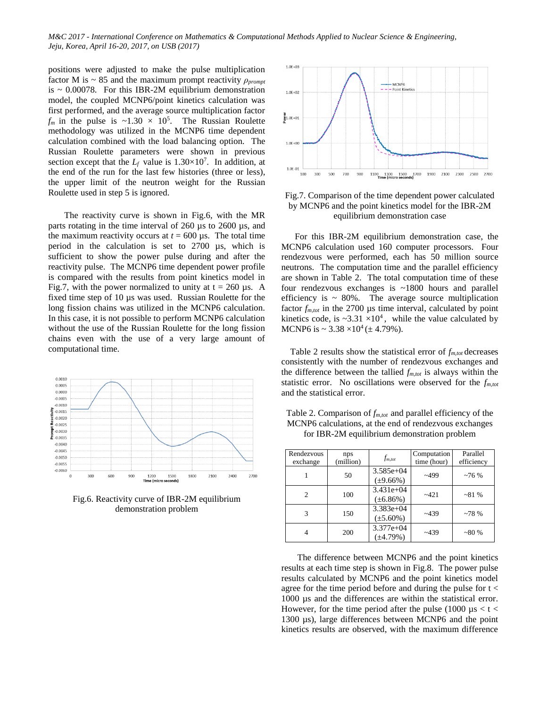positions were adjusted to make the pulse multiplication factor M is  $\sim 85$  and the maximum prompt reactivity  $\rho_{\text{prompt}}$ is  $\sim 0.00078$ . For this IBR-2M equilibrium demonstration model, the coupled MCNP6/point kinetics calculation was first performed, and the average source multiplication factor  $f_m$  in the pulse is ~1.30  $\times$  10<sup>5</sup>. The Russian Roulette methodology was utilized in the MCNP6 time dependent calculation combined with the load balancing option. The Russian Roulette parameters were shown in previous section except that the  $L_f$  value is  $1.30 \times 10^7$ . In addition, at the end of the run for the last few histories (three or less), the upper limit of the neutron weight for the Russian Roulette used in step 5 is ignored.

The reactivity curve is shown in Fig.6, with the MR parts rotating in the time interval of 260 µs to 2600 µs, and the maximum reactivity occurs at  $t = 600 \,\mu s$ . The total time period in the calculation is set to 2700 µs, which is sufficient to show the power pulse during and after the reactivity pulse. The MCNP6 time dependent power profile is compared with the results from point kinetics model in Fig.7, with the power normalized to unity at  $t = 260 \mu s$ . A fixed time step of 10 µs was used. Russian Roulette for the long fission chains was utilized in the MCNP6 calculation. In this case, it is not possible to perform MCNP6 calculation without the use of the Russian Roulette for the long fission chains even with the use of a very large amount of computational time.



Fig.6. Reactivity curve of IBR-2M equilibrium demonstration problem



Fig.7. Comparison of the time dependent power calculated by MCNP6 and the point kinetics model for the IBR-2M equilibrium demonstration case

 For this IBR-2M equilibrium demonstration case, the MCNP6 calculation used 160 computer processors. Four rendezvous were performed, each has 50 million source neutrons. The computation time and the parallel efficiency are shown in Table 2. The total computation time of these four rendezvous exchanges is ~1800 hours and parallel efficiency is  $\sim 80\%$ . The average source multiplication factor *fm,tot* in the 2700 µs time interval, calculated by point kinetics code, is  $\sim 3.31 \times 10^4$ , while the value calculated by MCNP6 is  $\sim 3.38 \times 10^4 (\pm 4.79\%)$ .

Table 2 results show the statistical error of  $f_{m,tot}$  decreases consistently with the number of rendezvous exchanges and the difference between the tallied  $f_{m,tot}$  is always within the statistic error. No oscillations were observed for the *fm,tot*  and the statistical error.

| Rendezvous<br>exchange | nps<br>(million) | $f_{m,tot}$                   | Computation<br>time (hour) | Parallel<br>efficiency |
|------------------------|------------------|-------------------------------|----------------------------|------------------------|
|                        | 50               | $3.585e+04$<br>$(\pm 9.66\%)$ | $-499$                     | ~276%                  |
| 2                      | 100              | $3.431e+04$<br>$(\pm 6.86\%)$ | $-421$                     | $~1\%$                 |
| 3                      | 150              | $3.383e+04$<br>$(\pm 5.60\%)$ | $-439$                     | $~10^{-78}$ %          |
|                        | 200              | $3.377e+04$<br>$(\pm 4.79%)$  | $-439$                     | $~180\%$               |

Table 2. Comparison of *fm,tot* and parallel efficiency of the MCNP6 calculations, at the end of rendezvous exchanges for IBR-2M equilibrium demonstration problem

The difference between MCNP6 and the point kinetics results at each time step is shown in Fig.8. The power pulse results calculated by MCNP6 and the point kinetics model agree for the time period before and during the pulse for  $t <$ 1000 µs and the differences are within the statistical error. However, for the time period after the pulse (1000  $\mu$ s < t < 1300 µs), large differences between MCNP6 and the point kinetics results are observed, with the maximum difference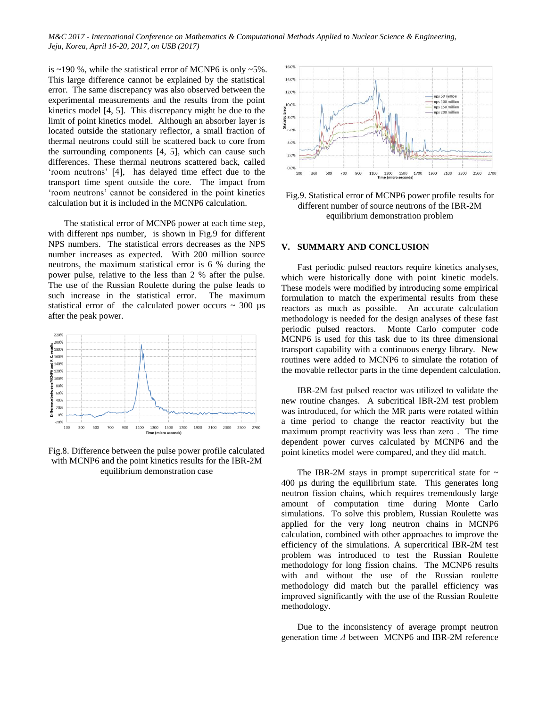is ~190 %, while the statistical error of MCNP6 is only ~5%. This large difference cannot be explained by the statistical error. The same discrepancy was also observed between the experimental measurements and the results from the point kinetics model [4, 5]. This discrepancy might be due to the limit of point kinetics model. Although an absorber layer is located outside the stationary reflector, a small fraction of thermal neutrons could still be scattered back to core from the surrounding components [4, 5], which can cause such differences. These thermal neutrons scattered back, called 'room neutrons' [4], has delayed time effect due to the transport time spent outside the core. The impact from 'room neutrons' cannot be considered in the point kinetics calculation but it is included in the MCNP6 calculation.

The statistical error of MCNP6 power at each time step, with different nps number, is shown in Fig.9 for different NPS numbers. The statistical errors decreases as the NPS number increases as expected. With 200 million source neutrons, the maximum statistical error is 6 % during the power pulse, relative to the less than 2 % after the pulse. The use of the Russian Roulette during the pulse leads to such increase in the statistical error. The maximum statistical error of the calculated power occurs  $\sim$  300 µs after the peak power.



Fig.8. Difference between the pulse power profile calculated with MCNP6 and the point kinetics results for the IBR-2M equilibrium demonstration case



Fig.9. Statistical error of MCNP6 power profile results for different number of source neutrons of the IBR-2M equilibrium demonstration problem

#### **V. SUMMARY AND CONCLUSION**

Fast periodic pulsed reactors require kinetics analyses, which were historically done with point kinetic models. These models were modified by introducing some empirical formulation to match the experimental results from these reactors as much as possible. An accurate calculation methodology is needed for the design analyses of these fast periodic pulsed reactors. Monte Carlo computer code MCNP6 is used for this task due to its three dimensional transport capability with a continuous energy library. New routines were added to MCNP6 to simulate the rotation of the movable reflector parts in the time dependent calculation.

IBR-2M fast pulsed reactor was utilized to validate the new routine changes. A subcritical IBR-2M test problem was introduced, for which the MR parts were rotated within a time period to change the reactor reactivity but the maximum prompt reactivity was less than zero . The time dependent power curves calculated by MCNP6 and the point kinetics model were compared, and they did match.

The IBR-2M stays in prompt supercritical state for  $\sim$ 400 µs during the equilibrium state. This generates long neutron fission chains, which requires tremendously large amount of computation time during Monte Carlo simulations. To solve this problem, Russian Roulette was applied for the very long neutron chains in MCNP6 calculation, combined with other approaches to improve the efficiency of the simulations. A supercritical IBR-2M test problem was introduced to test the Russian Roulette methodology for long fission chains. The MCNP6 results with and without the use of the Russian roulette methodology did match but the parallel efficiency was improved significantly with the use of the Russian Roulette methodology.

Due to the inconsistency of average prompt neutron generation time *Ʌ* between MCNP6 and IBR-2M reference